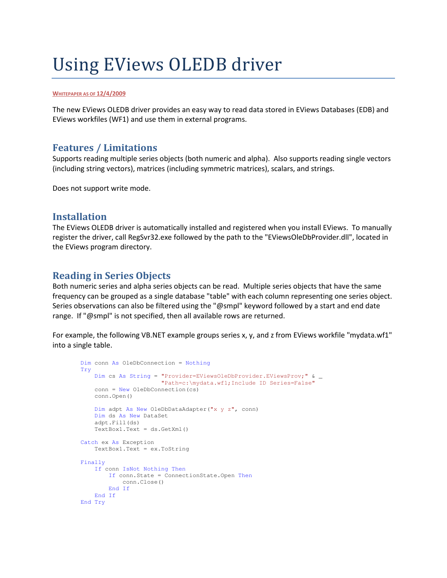# Using EViews OLEDB driver

#### **WHITEPAPER AS OF 12/4/2009**

The new EViews OLEDB driver provides an easy way to read data stored in EViews Databases (EDB) and EViews workfiles (WF1) and use them in external programs.

## **Features / Limitations**

Supports reading multiple series objects (both numeric and alpha). Also supports reading single vectors (including string vectors), matrices (including symmetric matrices), scalars, and strings.

Does not support write mode.

## **Installation**

The EViews OLEDB driver is automatically installed and registered when you install EViews. To manually register the driver, call RegSvr32.exe followed by the path to the "EViewsOleDbProvider.dll", located in the EViews program directory.

## **Reading in Series Objects**

Both numeric series and alpha series objects can be read. Multiple series objects that have the same frequency can be grouped as a single database "table" with each column representing one series object. Series observations can also be filtered using the "@smpl" keyword followed by a start and end date range. If "@smpl" is not specified, then all available rows are returned.

For example, the following VB.NET example groups series x, y, and z from EViews workfile "mydata.wf1" into a single table.

```
 Dim conn As OleDbConnection = Nothing 
Try 
    Dim cs As String = "Provider=EViewsOleDbProvider.EViewsProv;" & _ 
                        "Path=c:\mydata.wf1;Include ID Series=False" 
    conn = New OleDbConnection(cs) 
    conn.Open() 
    Dim adpt As New OleDbDataAdapter("x y z", conn) 
    Dim ds As New DataSet 
    adpt.Fill(ds) 
    TextBox1.Text = ds.GetXml() 
Catch ex As Exception 
    TextBox1.Text = ex.ToString 
Finally 
   If conn IsNot Nothing Then 
        If conn.State = ConnectionState.Open Then 
            conn.Close() 
       End If 
    End If 
End Try
```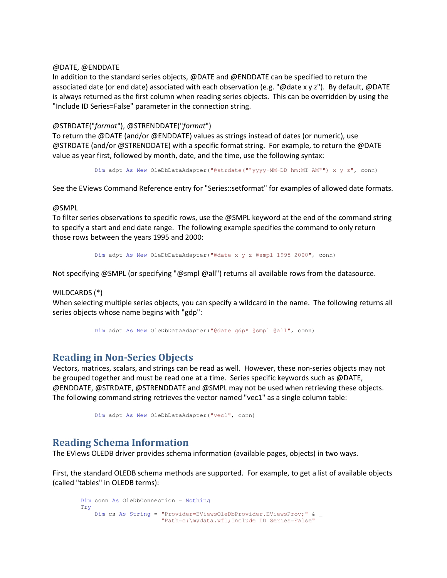#### @DATE, @ENDDATE

In addition to the standard series objects, @DATE and @ENDDATE can be specified to return the associated date (or end date) associated with each observation (e.g. "@date x y z"). By default, @DATE is always returned as the first column when reading series objects. This can be overridden by using the "Include ID Series=False" parameter in the connection string.

#### @STRDATE("*format*"), @STRENDDATE("*format*")

To return the @DATE (and/or @ENDDATE) values as strings instead of dates (or numeric), use @STRDATE (and/or @STRENDDATE) with a specific format string. For example, to return the @DATE value as year first, followed by month, date, and the time, use the following syntax:

Dim adpt As New OleDbDataAdapter("@strdate(""yyyy-MM-DD hm:MI AM"") x y z", conn)

See the EViews Command Reference entry for "Series::setformat" for examples of allowed date formats.

#### @SMPL

To filter series observations to specific rows, use the @SMPL keyword at the end of the command string to specify a start and end date range. The following example specifies the command to only return those rows between the years 1995 and 2000:

Dim adpt As New OleDbDataAdapter("@date x y z @smpl 1995 2000", conn)

Not specifying @SMPL (or specifying "@smpl @all") returns all available rows from the datasource.

#### WILDCARDS (\*)

When selecting multiple series objects, you can specify a wildcard in the name. The following returns all series objects whose name begins with "gdp":

Dim adpt As New OleDbDataAdapter("@date gdp\* @smpl @all", conn)

### **Reading in Non-Series Objects**

Vectors, matrices, scalars, and strings can be read as well. However, these non-series objects may not be grouped together and must be read one at a time. Series specific keywords such as @DATE, @ENDDATE, @STRDATE, @STRENDDATE and @SMPL may not be used when retrieving these objects. The following command string retrieves the vector named "vec1" as a single column table:

Dim adpt As New OleDbDataAdapter("vec1", conn)

## **Reading Schema Information**

The EViews OLEDB driver provides schema information (available pages, objects) in two ways.

First, the standard OLEDB schema methods are supported. For example, to get a list of available objects (called "tables" in OLEDB terms):

```
 Dim conn As OleDbConnection = Nothing 
Try 
    Dim cs As String = "Provider=EViewsOleDbProvider.EViewsProv;" & _ 
                        "Path=c:\mydata.wf1;Include ID Series=False"
```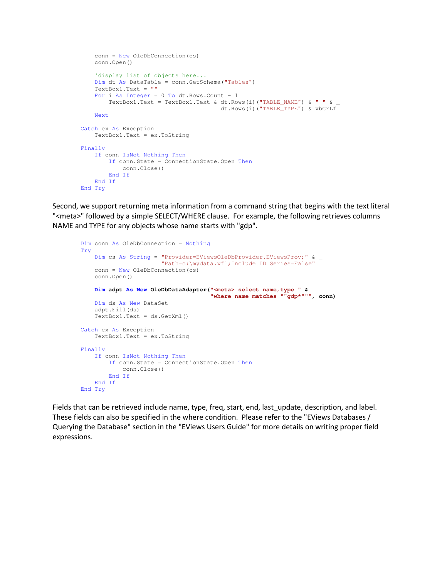```
 conn = New OleDbConnection(cs) 
    conn.Open() 
    'display list of objects here... 
    Dim dt As DataTable = conn.GetSchema("Tables") 
    TextBox1.Text = "" 
   For i As Integer = 0 To dt. Rows. Count - 1
       TextBox1.Text = TextBox1.Text & dt.Rows(i)("TABLE_NAME") & " " &
                                          dt.Rows(i)("TABLE_TYPE") & vbCrLf 
    Next 
Catch ex As Exception 
    TextBox1.Text = ex.ToString 
Finally 
    If conn IsNot Nothing Then 
        If conn.State = ConnectionState.Open Then 
            conn.Close() 
        End If 
    End If 
End Try
```
Second, we support returning meta information from a command string that begins with the text literal "<meta>" followed by a simple SELECT/WHERE clause. For example, the following retrieves columns NAME and TYPE for any objects whose name starts with "gdp".

```
 Dim conn As OleDbConnection = Nothing 
Try 
    Dim cs As String = "Provider=EViewsOleDbProvider.EViewsProv;" & _ 
                        "Path=c:\mydata.wf1;Include ID Series=False" 
    conn = New OleDbConnection(cs) 
    conn.Open() 
    Dim adpt As New OleDbDataAdapter("<meta> select name,type " & _ 
                                        "where name matches ""gdp*""", conn) 
    Dim ds As New DataSet 
    adpt.Fill(ds) 
    TextBox1.Text = ds.GetXml() 
Catch ex As Exception 
    TextBox1.Text = ex.ToString 
Finally 
    If conn IsNot Nothing Then 
        If conn.State = ConnectionState.Open Then 
            conn.Close() 
        End If 
    End If 
End Try
```
Fields that can be retrieved include name, type, freq, start, end, last\_update, description, and label. These fields can also be specified in the where condition. Please refer to the "EViews Databases / Querying the Database" section in the "EViews Users Guide" for more details on writing proper field expressions.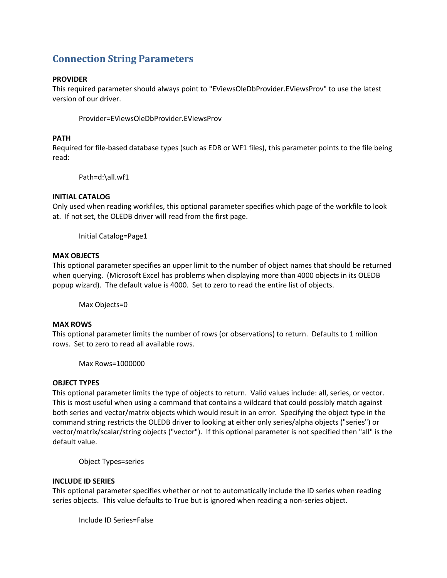## **Connection String Parameters**

#### **PROVIDER**

This required parameter should always point to "EViewsOleDbProvider.EViewsProv" to use the latest version of our driver.

Provider=EViewsOleDbProvider.EViewsProv

#### **PATH**

Required for file-based database types (such as EDB or WF1 files), this parameter points to the file being read:

Path=d:\all.wf1

#### **INITIAL CATALOG**

Only used when reading workfiles, this optional parameter specifies which page of the workfile to look at. If not set, the OLEDB driver will read from the first page.

Initial Catalog=Page1

#### **MAX OBJECTS**

This optional parameter specifies an upper limit to the number of object names that should be returned when querying. (Microsoft Excel has problems when displaying more than 4000 objects in its OLEDB popup wizard). The default value is 4000. Set to zero to read the entire list of objects.

Max Objects=0

#### **MAX ROWS**

This optional parameter limits the number of rows (or observations) to return. Defaults to 1 million rows. Set to zero to read all available rows.

Max Rows=1000000

#### **OBJECT TYPES**

This optional parameter limits the type of objects to return. Valid values include: all, series, or vector. This is most useful when using a command that contains a wildcard that could possibly match against both series and vector/matrix objects which would result in an error. Specifying the object type in the command string restricts the OLEDB driver to looking at either only series/alpha objects ("series") or vector/matrix/scalar/string objects ("vector"). If this optional parameter is not specified then "all" is the default value.

Object Types=series

#### **INCLUDE ID SERIES**

This optional parameter specifies whether or not to automatically include the ID series when reading series objects. This value defaults to True but is ignored when reading a non-series object.

Include ID Series=False